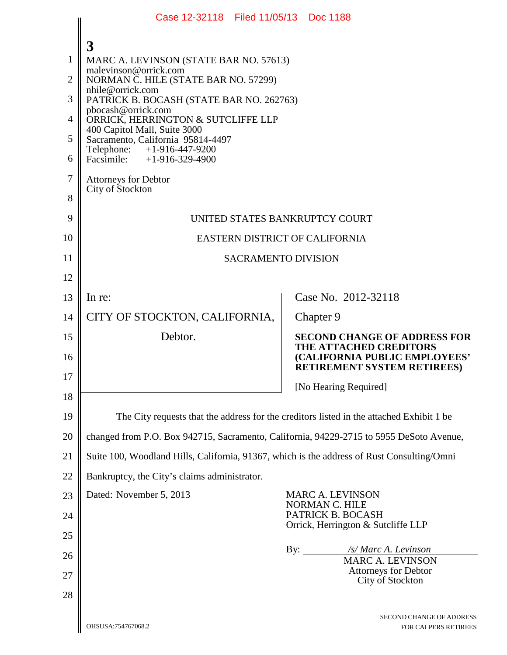|                | Case 12-32118 Filed 11/05/13 Doc 1188                                                      |                                                         |                                                                                               |  |  |  |  |  |
|----------------|--------------------------------------------------------------------------------------------|---------------------------------------------------------|-----------------------------------------------------------------------------------------------|--|--|--|--|--|
|                | 3                                                                                          |                                                         |                                                                                               |  |  |  |  |  |
| 1              | MARC A. LEVINSON (STATE BAR NO. 57613)                                                     |                                                         |                                                                                               |  |  |  |  |  |
| $\overline{2}$ | malevinson@orrick.com<br>NORMAN C. HILE (STATE BAR NO. 57299)                              |                                                         |                                                                                               |  |  |  |  |  |
| 3              | nhile@orrick.com<br>PATRICK B. BOCASH (STATE BAR NO. 262763)                               |                                                         |                                                                                               |  |  |  |  |  |
| $\overline{4}$ | pbocash@orrick.com<br>ORRICK, HERRINGTON & SUTCLIFFE LLP                                   |                                                         |                                                                                               |  |  |  |  |  |
| 5              | 400 Capitol Mall, Suite 3000<br>Sacramento, California 95814-4497                          |                                                         |                                                                                               |  |  |  |  |  |
| 6              | Telephone: +1-916-447-9200<br>Facsimile: $+1-916-329-4900$                                 |                                                         |                                                                                               |  |  |  |  |  |
| 7              | <b>Attorneys for Debtor</b>                                                                |                                                         |                                                                                               |  |  |  |  |  |
| 8              | City of Stockton                                                                           |                                                         |                                                                                               |  |  |  |  |  |
| 9              | UNITED STATES BANKRUPTCY COURT                                                             |                                                         |                                                                                               |  |  |  |  |  |
| 10             | EASTERN DISTRICT OF CALIFORNIA                                                             |                                                         |                                                                                               |  |  |  |  |  |
| 11             | <b>SACRAMENTO DIVISION</b>                                                                 |                                                         |                                                                                               |  |  |  |  |  |
| 12             |                                                                                            |                                                         |                                                                                               |  |  |  |  |  |
| 13             | In re:                                                                                     |                                                         | Case No. 2012-32118                                                                           |  |  |  |  |  |
| 14             | CITY OF STOCKTON, CALIFORNIA,                                                              |                                                         | Chapter 9                                                                                     |  |  |  |  |  |
| 15             | Debtor.                                                                                    |                                                         | <b>SECOND CHANGE OF ADDRESS FOR</b>                                                           |  |  |  |  |  |
| 16             |                                                                                            |                                                         | THE ATTACHED CREDITORS<br>(CALIFORNIA PUBLIC EMPLOYEES'<br><b>RETIREMENT SYSTEM RETIREES)</b> |  |  |  |  |  |
| 17             |                                                                                            |                                                         | [No Hearing Required]                                                                         |  |  |  |  |  |
| 18             |                                                                                            |                                                         |                                                                                               |  |  |  |  |  |
| 19             | The City requests that the address for the creditors listed in the attached Exhibit 1 be   |                                                         |                                                                                               |  |  |  |  |  |
| 20             | changed from P.O. Box 942715, Sacramento, California, 94229-2715 to 5955 DeSoto Avenue,    |                                                         |                                                                                               |  |  |  |  |  |
| 21             | Suite 100, Woodland Hills, California, 91367, which is the address of Rust Consulting/Omni |                                                         |                                                                                               |  |  |  |  |  |
| 22             | Bankruptcy, the City's claims administrator.                                               |                                                         |                                                                                               |  |  |  |  |  |
| 23             | Dated: November 5, 2013                                                                    |                                                         | <b>MARC A. LEVINSON</b><br>NORMAN C. HILE                                                     |  |  |  |  |  |
| 24             |                                                                                            | PATRICK B. BOCASH<br>Orrick, Herrington & Sutcliffe LLP |                                                                                               |  |  |  |  |  |
| 25             |                                                                                            | By:                                                     | /s/ Marc A. Levinson                                                                          |  |  |  |  |  |
| 26             |                                                                                            |                                                         | <b>MARC A. LEVINSON</b><br><b>Attorneys for Debtor</b>                                        |  |  |  |  |  |
| 27<br>28       |                                                                                            |                                                         | City of Stockton                                                                              |  |  |  |  |  |
|                |                                                                                            |                                                         |                                                                                               |  |  |  |  |  |
|                | OHSUSA:754767068.2                                                                         |                                                         | SECOND CHANGE OF ADDRESS<br>FOR CALPERS RETIREES                                              |  |  |  |  |  |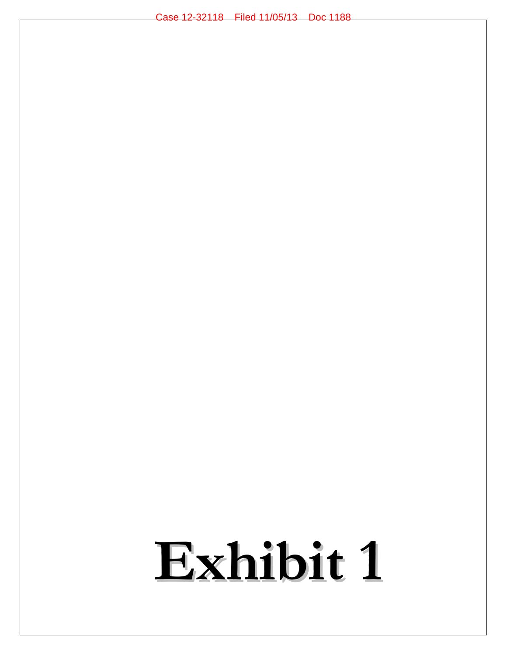## **Exhibit 1**